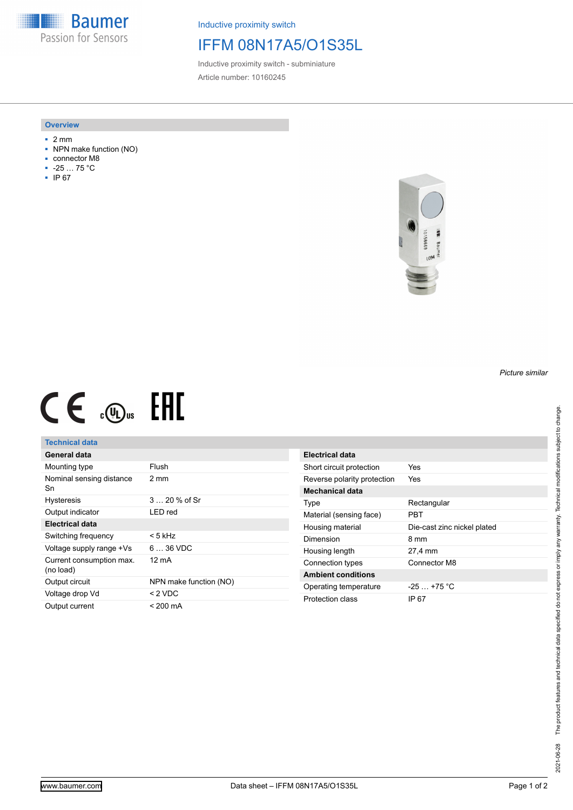**Baumer** Passion for Sensors

Inductive proximity switch

## IFFM 08N17A5/O1S35L

Inductive proximity switch - subminiature Article number: 10160245

#### **Overview**

- 2 mm
- NPN make function (NO)
- connector M8
- -25 … 75 °C
- IP 67



# $CE \oplus E$

## **Technical data**

| General data                          |                        |
|---------------------------------------|------------------------|
| Mounting type                         | Flush                  |
| Nominal sensing distance<br>Sn        | 2 mm                   |
| <b>Hysteresis</b>                     | $320%$ of Sr           |
| Output indicator                      | LED red                |
| Electrical data                       |                        |
| Switching frequency                   | < 5 kHz                |
| Voltage supply range +Vs              | 6  36 VDC              |
| Current consumption max.<br>(no load) | 12 mA                  |
| Output circuit                        | NPN make function (NO) |
| Voltage drop Vd                       | $<$ 2 VDC              |
| Output current                        | $< 200 \text{ mA}$     |

| Electrical data             |                             |
|-----------------------------|-----------------------------|
| Short circuit protection    | Yes                         |
| Reverse polarity protection | Yes                         |
| <b>Mechanical data</b>      |                             |
| Type                        | Rectangular                 |
| Material (sensing face)     | PRT                         |
| Housing material            | Die-cast zinc nickel plated |
| Dimension                   | 8 mm                        |
| Housing length              | 27,4 mm                     |
| Connection types            | Connector M8                |
| <b>Ambient conditions</b>   |                             |
| Operating temperature       | $-25+75 °C$                 |
| Protection class            | IP 67                       |